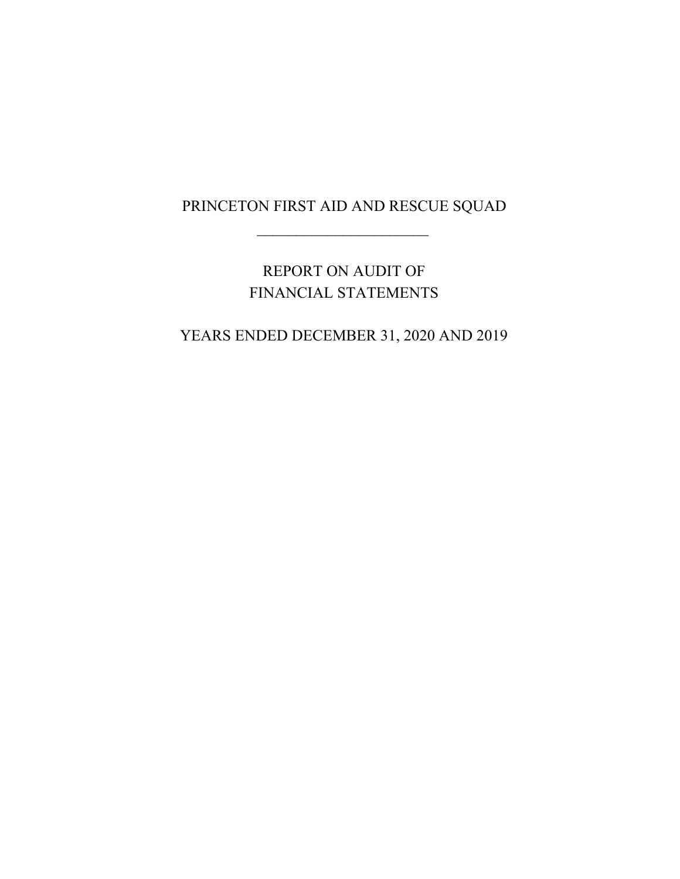$\mathcal{L}_\text{max}$  , where  $\mathcal{L}_\text{max}$ 

# REPORT ON AUDIT OF FINANCIAL STATEMENTS

# YEARS ENDED DECEMBER 31, 2020 AND 2019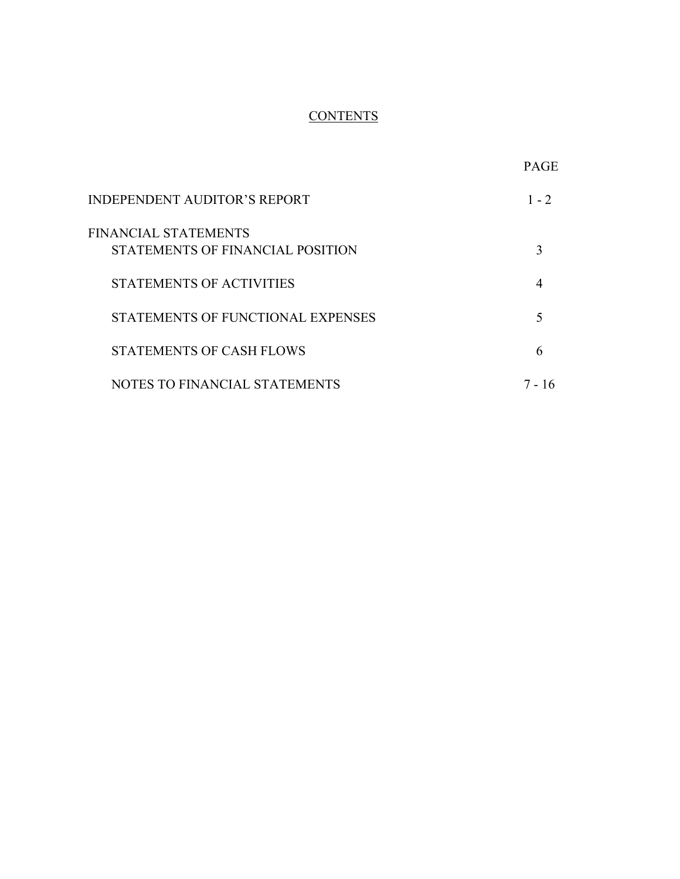# **CONTENTS**

|                                                          | <b>PAGE</b> |
|----------------------------------------------------------|-------------|
| <b>INDEPENDENT AUDITOR'S REPORT</b>                      | $1 - 2$     |
| FINANCIAL STATEMENTS<br>STATEMENTS OF FINANCIAL POSITION |             |
| <b>STATEMENTS OF ACTIVITIES</b>                          | 4           |
| STATEMENTS OF FUNCTIONAL EXPENSES                        |             |
| <b>STATEMENTS OF CASH FLOWS</b>                          | 6           |
| NOTES TO FINANCIAL STATEMENTS                            | 16          |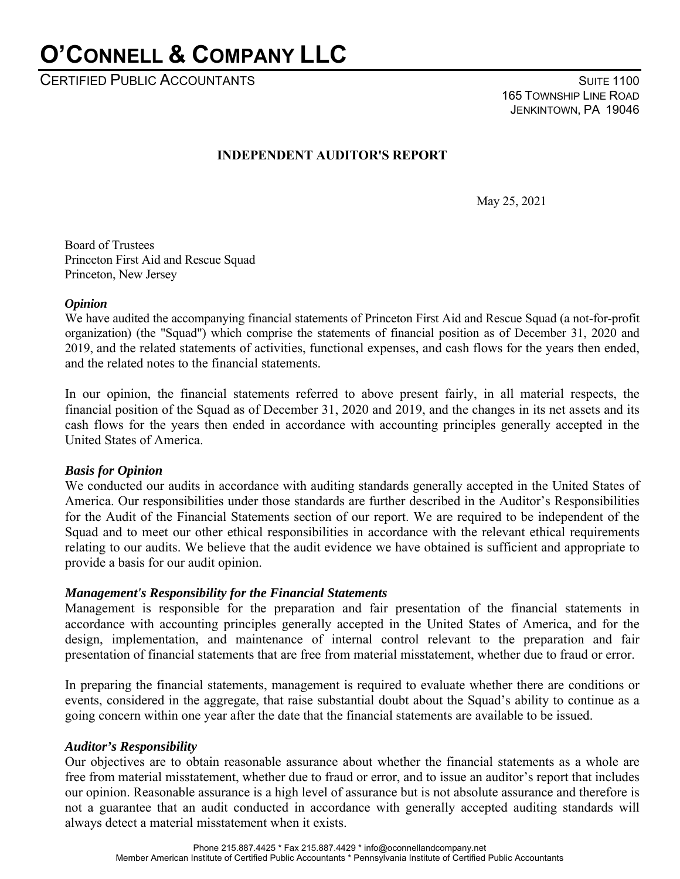# **O'CONNELL & COMPANY LLC**

CERTIFIED PUBLIC ACCOUNTANTS **SUITE 1100** 

 165 TOWNSHIP LINE ROAD JENKINTOWN, PA 19046

# **INDEPENDENT AUDITOR'S REPORT**

May 25, 2021

Board of Trustees Princeton First Aid and Rescue Squad Princeton, New Jersey

#### *Opinion*

We have audited the accompanying financial statements of Princeton First Aid and Rescue Squad (a not-for-profit organization) (the "Squad") which comprise the statements of financial position as of December 31, 2020 and 2019, and the related statements of activities, functional expenses, and cash flows for the years then ended, and the related notes to the financial statements.

In our opinion, the financial statements referred to above present fairly, in all material respects, the financial position of the Squad as of December 31, 2020 and 2019, and the changes in its net assets and its cash flows for the years then ended in accordance with accounting principles generally accepted in the United States of America.

#### *Basis for Opinion*

We conducted our audits in accordance with auditing standards generally accepted in the United States of America. Our responsibilities under those standards are further described in the Auditor's Responsibilities for the Audit of the Financial Statements section of our report. We are required to be independent of the Squad and to meet our other ethical responsibilities in accordance with the relevant ethical requirements relating to our audits. We believe that the audit evidence we have obtained is sufficient and appropriate to provide a basis for our audit opinion.

#### *Management's Responsibility for the Financial Statements*

Management is responsible for the preparation and fair presentation of the financial statements in accordance with accounting principles generally accepted in the United States of America, and for the design, implementation, and maintenance of internal control relevant to the preparation and fair presentation of financial statements that are free from material misstatement, whether due to fraud or error.

In preparing the financial statements, management is required to evaluate whether there are conditions or events, considered in the aggregate, that raise substantial doubt about the Squad's ability to continue as a going concern within one year after the date that the financial statements are available to be issued.

#### *Auditor's Responsibility*

Our objectives are to obtain reasonable assurance about whether the financial statements as a whole are free from material misstatement, whether due to fraud or error, and to issue an auditor's report that includes our opinion. Reasonable assurance is a high level of assurance but is not absolute assurance and therefore is not a guarantee that an audit conducted in accordance with generally accepted auditing standards will always detect a material misstatement when it exists.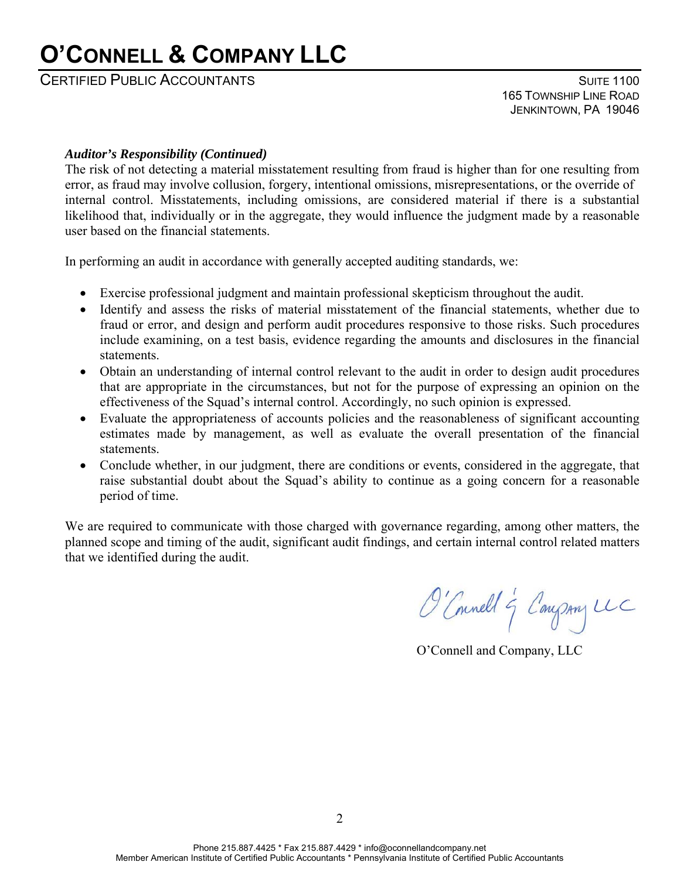# **O'CONNELL & COMPANY LLC**

CERTIFIED PUBLIC ACCOUNTANTS **SUITE 1100** 

 165 TOWNSHIP LINE ROAD JENKINTOWN, PA 19046

#### *Auditor's Responsibility (Continued)*

The risk of not detecting a material misstatement resulting from fraud is higher than for one resulting from error, as fraud may involve collusion, forgery, intentional omissions, misrepresentations, or the override of internal control. Misstatements, including omissions, are considered material if there is a substantial likelihood that, individually or in the aggregate, they would influence the judgment made by a reasonable user based on the financial statements.

In performing an audit in accordance with generally accepted auditing standards, we:

- Exercise professional judgment and maintain professional skepticism throughout the audit.
- Identify and assess the risks of material misstatement of the financial statements, whether due to fraud or error, and design and perform audit procedures responsive to those risks. Such procedures include examining, on a test basis, evidence regarding the amounts and disclosures in the financial statements.
- Obtain an understanding of internal control relevant to the audit in order to design audit procedures that are appropriate in the circumstances, but not for the purpose of expressing an opinion on the effectiveness of the Squad's internal control. Accordingly, no such opinion is expressed.
- Evaluate the appropriateness of accounts policies and the reasonableness of significant accounting estimates made by management, as well as evaluate the overall presentation of the financial statements.
- Conclude whether, in our judgment, there are conditions or events, considered in the aggregate, that raise substantial doubt about the Squad's ability to continue as a going concern for a reasonable period of time.

We are required to communicate with those charged with governance regarding, among other matters, the planned scope and timing of the audit, significant audit findings, and certain internal control related matters that we identified during the audit.

O'Connell & Company UC

O'Connell and Company, LLC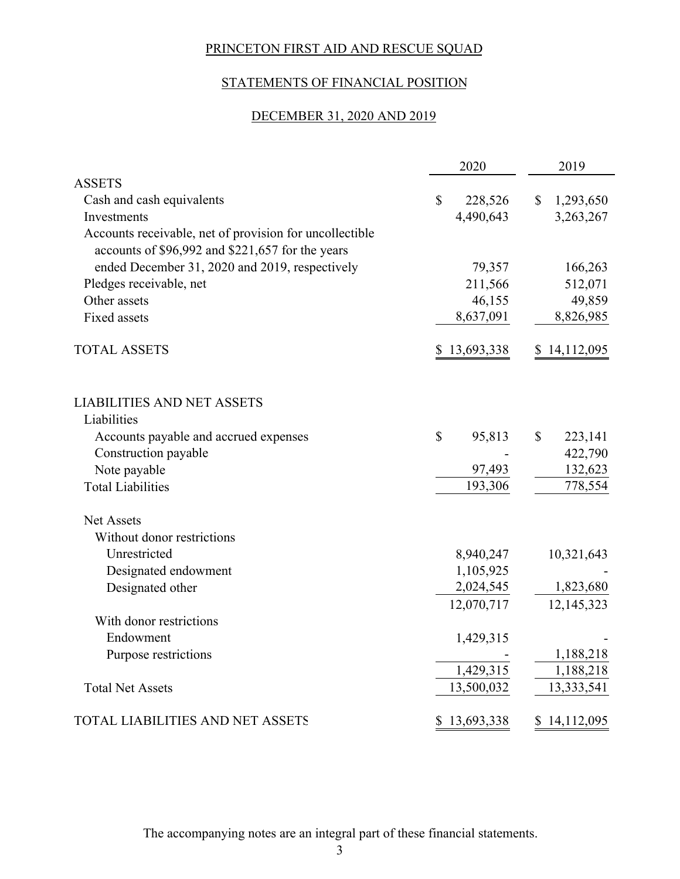# STATEMENTS OF FINANCIAL POSITION

### DECEMBER 31, 2020 AND 2019

|                                                                                                             | 2020          |              | 2019         |
|-------------------------------------------------------------------------------------------------------------|---------------|--------------|--------------|
| <b>ASSETS</b>                                                                                               |               |              |              |
| Cash and cash equivalents                                                                                   | \$<br>228,526 | $\mathbb{S}$ | 1,293,650    |
| Investments                                                                                                 | 4,490,643     |              | 3,263,267    |
| Accounts receivable, net of provision for uncollectible<br>accounts of \$96,992 and \$221,657 for the years |               |              |              |
| ended December 31, 2020 and 2019, respectively                                                              | 79,357        |              | 166,263      |
| Pledges receivable, net                                                                                     | 211,566       |              | 512,071      |
| Other assets                                                                                                | 46,155        |              | 49,859       |
| <b>Fixed assets</b>                                                                                         | 8,637,091     |              | 8,826,985    |
| <b>TOTAL ASSETS</b>                                                                                         | \$13,693,338  |              | \$14,112,095 |
| <b>LIABILITIES AND NET ASSETS</b>                                                                           |               |              |              |
| Liabilities                                                                                                 |               |              |              |
| Accounts payable and accrued expenses                                                                       | \$<br>95,813  | \$           | 223,141      |
| Construction payable                                                                                        |               |              | 422,790      |
| Note payable                                                                                                | 97,493        |              | 132,623      |
| <b>Total Liabilities</b>                                                                                    | 193,306       |              | 778,554      |
| <b>Net Assets</b>                                                                                           |               |              |              |
| Without donor restrictions                                                                                  |               |              |              |
| Unrestricted                                                                                                | 8,940,247     |              | 10,321,643   |
| Designated endowment                                                                                        | 1,105,925     |              |              |
| Designated other                                                                                            | 2,024,545     |              | 1,823,680    |
|                                                                                                             | 12,070,717    |              | 12,145,323   |
| With donor restrictions                                                                                     |               |              |              |
| Endowment                                                                                                   | 1,429,315     |              |              |
| Purpose restrictions                                                                                        |               |              | 1,188,218    |
|                                                                                                             | 1,429,315     |              | 1,188,218    |
| <b>Total Net Assets</b>                                                                                     | 13,500,032    |              | 13,333,541   |
| TOTAL LIABILITIES AND NET ASSETS                                                                            | \$13,693,338  |              | \$14,112,095 |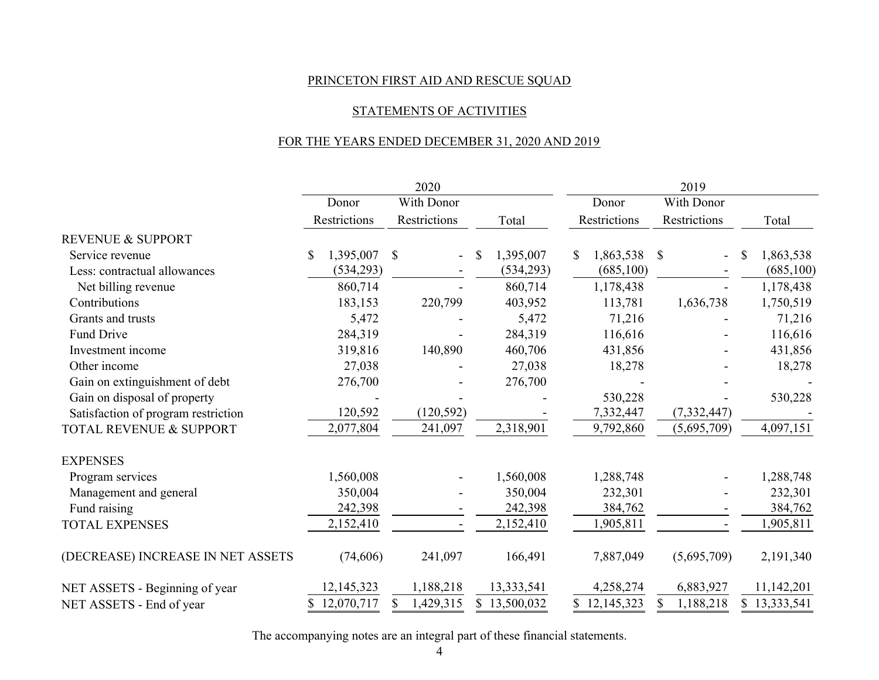#### STATEMENTS OF ACTIVITIES

### FOR THE YEARS ENDED DECEMBER 31, 2020 AND 2019

|                                     |                 | 2020                 |                           | 2019             |                                |                |  |
|-------------------------------------|-----------------|----------------------|---------------------------|------------------|--------------------------------|----------------|--|
|                                     | Donor           | With Donor           |                           | Donor            | With Donor                     |                |  |
|                                     | Restrictions    | Restrictions         | Total                     | Restrictions     | Restrictions                   | Total          |  |
| <b>REVENUE &amp; SUPPORT</b>        |                 |                      |                           |                  |                                |                |  |
| Service revenue                     | 1,395,007<br>\$ | \$<br>$\blacksquare$ | $\mathbb{S}$<br>1,395,007 | \$<br>1,863,538  | \$<br>$\overline{\phantom{a}}$ | 1,863,538<br>S |  |
| Less: contractual allowances        | (534,293)       |                      | (534, 293)                | (685,100)        |                                | (685,100)      |  |
| Net billing revenue                 | 860,714         |                      | 860,714                   | 1,178,438        |                                | 1,178,438      |  |
| Contributions                       | 183,153         | 220,799              | 403,952                   | 113,781          | 1,636,738                      | 1,750,519      |  |
| Grants and trusts                   | 5,472           |                      | 5,472                     | 71,216           |                                | 71,216         |  |
| Fund Drive                          | 284,319         |                      | 284,319                   | 116,616          |                                | 116,616        |  |
| Investment income                   | 319,816         | 140,890              | 460,706                   | 431,856          |                                | 431,856        |  |
| Other income                        | 27,038          |                      | 27,038                    | 18,278           |                                | 18,278         |  |
| Gain on extinguishment of debt      | 276,700         |                      | 276,700                   |                  |                                |                |  |
| Gain on disposal of property        |                 |                      |                           | 530,228          |                                | 530,228        |  |
| Satisfaction of program restriction | 120,592         | (120, 592)           |                           | 7,332,447        | (7, 332, 447)                  |                |  |
| TOTAL REVENUE & SUPPORT             | 2,077,804       | 241,097              | 2,318,901                 | 9,792,860        | (5,695,709)                    | 4,097,151      |  |
| <b>EXPENSES</b>                     |                 |                      |                           |                  |                                |                |  |
| Program services                    | 1,560,008       |                      | 1,560,008                 | 1,288,748        |                                | 1,288,748      |  |
| Management and general              | 350,004         |                      | 350,004                   | 232,301          |                                | 232,301        |  |
| Fund raising                        | 242,398         |                      | 242,398                   | 384,762          |                                | 384,762        |  |
| <b>TOTAL EXPENSES</b>               | 2,152,410       |                      | 2,152,410                 | 1,905,811        |                                | 1,905,811      |  |
| (DECREASE) INCREASE IN NET ASSETS   | (74,606)        | 241,097              | 166,491                   | 7,887,049        | (5,695,709)                    | 2,191,340      |  |
| NET ASSETS - Beginning of year      | 12,145,323      | 1,188,218            | 13,333,541                | 4,258,274        | 6,883,927                      | 11,142,201     |  |
| NET ASSETS - End of year            | 12,070,717      | 1,429,315<br>S.      | \$13,500,032              | 12,145,323<br>S. | 1,188,218                      | \$13,333,541   |  |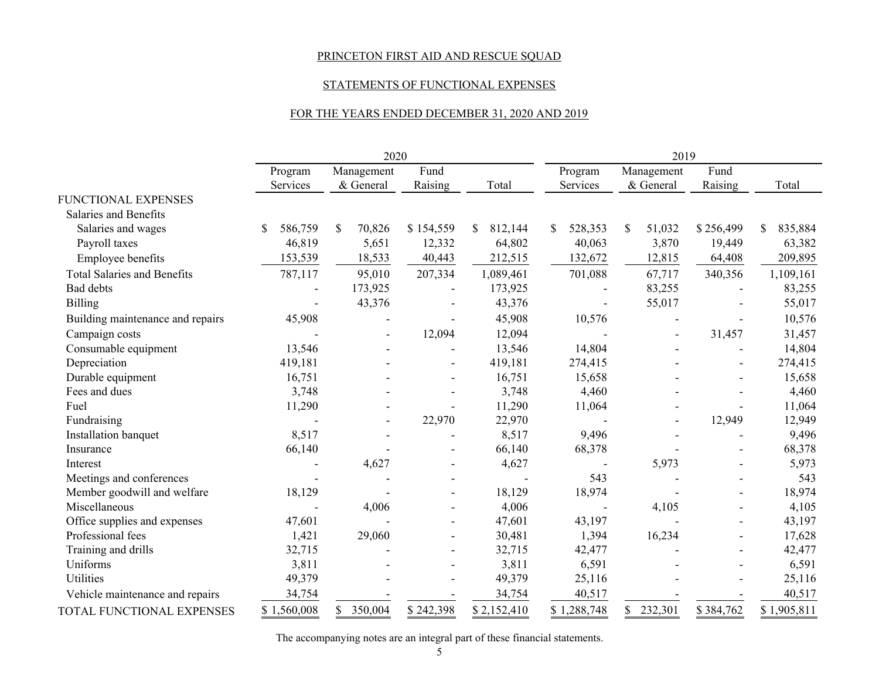#### STATEMENTS OF FUNCTIONAL EXPENSES

#### FOR THE YEARS ENDED DECEMBER 31, 2020 AND 2019

|                                    | 2020        |                          |                |              | 2019                     |                          |                          |               |  |
|------------------------------------|-------------|--------------------------|----------------|--------------|--------------------------|--------------------------|--------------------------|---------------|--|
|                                    | Program     | Management               | Fund           |              | Program                  | Management               | Fund                     |               |  |
|                                    | Services    | & General                | Raising        | Total        | Services                 | & General                | Raising                  | Total         |  |
| FUNCTIONAL EXPENSES                |             |                          |                |              |                          |                          |                          |               |  |
| Salaries and Benefits              |             |                          |                |              |                          |                          |                          |               |  |
| Salaries and wages                 | 586,759     | \$<br>70,826             | \$154,559      | 812,144<br>S | 528,353<br>S             | \$<br>51,032             | \$256,499                | 835,884<br>S. |  |
| Payroll taxes                      | 46,819      | 5,651                    | 12,332         | 64,802       | 40,063                   | 3,870                    | 19,449                   | 63,382        |  |
| Employee benefits                  | 153,539     | 18,533                   | 40,443         | 212,515      | 132,672                  | 12,815                   | 64,408                   | 209,895       |  |
| <b>Total Salaries and Benefits</b> | 787,117     | 95,010                   | 207,334        | 1,089,461    | 701,088                  | 67,717                   | 340,356                  | 1,109,161     |  |
| Bad debts                          |             | 173,925                  |                | 173,925      |                          | 83,255                   |                          | 83,255        |  |
| <b>Billing</b>                     |             | 43,376                   |                | 43,376       | $\overline{\phantom{a}}$ | 55,017                   |                          | 55,017        |  |
| Building maintenance and repairs   | 45,908      |                          |                | 45,908       | 10,576                   |                          |                          | 10,576        |  |
| Campaign costs                     |             | $\overline{\phantom{a}}$ | 12,094         | 12,094       |                          | $\overline{\phantom{a}}$ | 31,457                   | 31,457        |  |
| Consumable equipment               | 13,546      |                          | $\overline{a}$ | 13,546       | 14,804                   |                          | $\overline{\phantom{a}}$ | 14,804        |  |
| Depreciation                       | 419,181     |                          |                | 419,181      | 274,415                  |                          |                          | 274,415       |  |
| Durable equipment                  | 16,751      |                          | $\blacksquare$ | 16,751       | 15,658                   |                          | $\overline{\phantom{a}}$ | 15,658        |  |
| Fees and dues                      | 3,748       |                          |                | 3,748        | 4,460                    |                          |                          | 4,460         |  |
| Fuel                               | 11,290      |                          |                | 11,290       | 11,064                   |                          |                          | 11,064        |  |
| Fundraising                        |             |                          | 22,970         | 22,970       |                          |                          | 12,949                   | 12,949        |  |
| Installation banquet               | 8,517       |                          |                | 8,517        | 9,496                    |                          |                          | 9,496         |  |
| Insurance                          | 66,140      |                          |                | 66,140       | 68,378                   |                          | $\overline{\phantom{a}}$ | 68,378        |  |
| Interest                           |             | 4,627                    |                | 4,627        |                          | 5,973                    |                          | 5,973         |  |
| Meetings and conferences           |             |                          |                |              | 543                      |                          |                          | 543           |  |
| Member goodwill and welfare        | 18,129      |                          |                | 18,129       | 18,974                   |                          | $\blacksquare$           | 18,974        |  |
| Miscellaneous                      |             | 4,006                    |                | 4,006        |                          | 4,105                    |                          | 4,105         |  |
| Office supplies and expenses       | 47,601      |                          |                | 47,601       | 43,197                   |                          |                          | 43,197        |  |
| Professional fees                  | 1,421       | 29,060                   |                | 30,481       | 1,394                    | 16,234                   | $\overline{a}$           | 17,628        |  |
| Training and drills                | 32,715      |                          |                | 32,715       | 42,477                   |                          |                          | 42,477        |  |
| Uniforms                           | 3,811       |                          |                | 3,811        | 6,591                    |                          |                          | 6,591         |  |
| <b>Utilities</b>                   | 49,379      |                          |                | 49,379       | 25,116                   |                          |                          | 25,116        |  |
| Vehicle maintenance and repairs    | 34,754      |                          |                | 34,754       | 40,517                   |                          |                          | 40,517        |  |
| TOTAL FUNCTIONAL EXPENSES          | \$1,560,008 | 350,004                  | \$242,398      | \$2,152,410  | \$1,288,748              | \$<br>232,301            | \$384,762                | \$1,905,811   |  |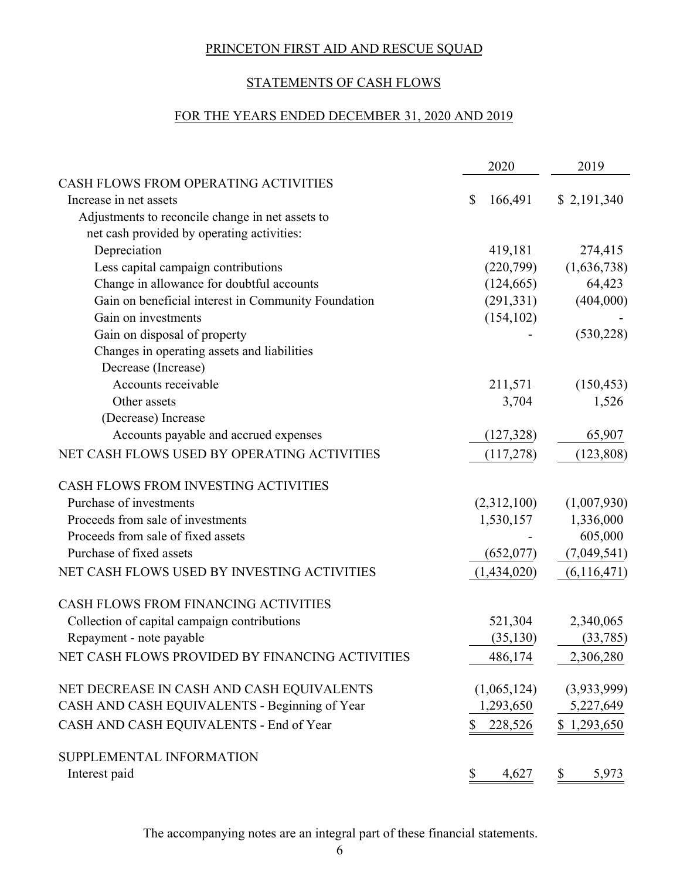# STATEMENTS OF CASH FLOWS

# FOR THE YEARS ENDED DECEMBER 31, 2020 AND 2019

|                                                     | 2020          | 2019          |
|-----------------------------------------------------|---------------|---------------|
| CASH FLOWS FROM OPERATING ACTIVITIES                |               |               |
| Increase in net assets                              | \$<br>166,491 | \$2,191,340   |
| Adjustments to reconcile change in net assets to    |               |               |
| net cash provided by operating activities:          |               |               |
| Depreciation                                        | 419,181       | 274,415       |
| Less capital campaign contributions                 | (220,799)     | (1,636,738)   |
| Change in allowance for doubtful accounts           | (124, 665)    | 64,423        |
| Gain on beneficial interest in Community Foundation | (291, 331)    | (404,000)     |
| Gain on investments                                 | (154, 102)    |               |
| Gain on disposal of property                        |               | (530, 228)    |
| Changes in operating assets and liabilities         |               |               |
| Decrease (Increase)                                 |               |               |
| Accounts receivable                                 | 211,571       | (150, 453)    |
| Other assets                                        | 3,704         | 1,526         |
| (Decrease) Increase                                 |               |               |
| Accounts payable and accrued expenses               | (127, 328)    | 65,907        |
| NET CASH FLOWS USED BY OPERATING ACTIVITIES         | (117,278)     | (123, 808)    |
| CASH FLOWS FROM INVESTING ACTIVITIES                |               |               |
| Purchase of investments                             | (2,312,100)   | (1,007,930)   |
| Proceeds from sale of investments                   | 1,530,157     | 1,336,000     |
| Proceeds from sale of fixed assets                  |               | 605,000       |
| Purchase of fixed assets                            | (652,077)     | (7,049,541)   |
| NET CASH FLOWS USED BY INVESTING ACTIVITIES         | (1,434,020)   | (6, 116, 471) |
| CASH FLOWS FROM FINANCING ACTIVITIES                |               |               |
| Collection of capital campaign contributions        | 521,304       | 2,340,065     |
| Repayment - note payable                            | (35, 130)     | (33, 785)     |
| NET CASH FLOWS PROVIDED BY FINANCING ACTIVITIES     | 486,174       | 2,306,280     |
| NET DECREASE IN CASH AND CASH EQUIVALENTS           | (1,065,124)   | (3,933,999)   |
| CASH AND CASH EQUIVALENTS - Beginning of Year       | 1,293,650     | 5,227,649     |
| CASH AND CASH EQUIVALENTS - End of Year             | 228,526<br>\$ | \$1,293,650   |
| SUPPLEMENTAL INFORMATION                            |               |               |
| Interest paid                                       | \$<br>4,627   | \$<br>5,973   |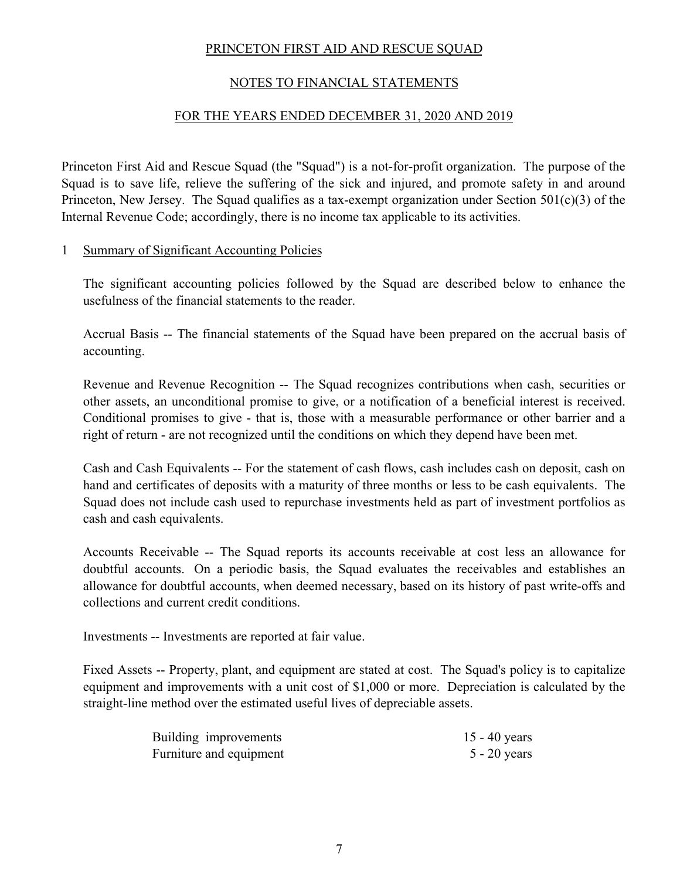# NOTES TO FINANCIAL STATEMENTS

#### FOR THE YEARS ENDED DECEMBER 31, 2020 AND 2019

Princeton First Aid and Rescue Squad (the "Squad") is a not-for-profit organization. The purpose of the Squad is to save life, relieve the suffering of the sick and injured, and promote safety in and around Princeton, New Jersey. The Squad qualifies as a tax-exempt organization under Section 501(c)(3) of the Internal Revenue Code; accordingly, there is no income tax applicable to its activities.

#### 1 Summary of Significant Accounting Policies

The significant accounting policies followed by the Squad are described below to enhance the usefulness of the financial statements to the reader.

Accrual Basis -- The financial statements of the Squad have been prepared on the accrual basis of accounting.

Revenue and Revenue Recognition -- The Squad recognizes contributions when cash, securities or other assets, an unconditional promise to give, or a notification of a beneficial interest is received. Conditional promises to give - that is, those with a measurable performance or other barrier and a right of return - are not recognized until the conditions on which they depend have been met.

Cash and Cash Equivalents -- For the statement of cash flows, cash includes cash on deposit, cash on hand and certificates of deposits with a maturity of three months or less to be cash equivalents. The Squad does not include cash used to repurchase investments held as part of investment portfolios as cash and cash equivalents.

Accounts Receivable -- The Squad reports its accounts receivable at cost less an allowance for doubtful accounts. On a periodic basis, the Squad evaluates the receivables and establishes an allowance for doubtful accounts, when deemed necessary, based on its history of past write-offs and collections and current credit conditions.

Investments -- Investments are reported at fair value.

Fixed Assets -- Property, plant, and equipment are stated at cost. The Squad's policy is to capitalize equipment and improvements with a unit cost of \$1,000 or more. Depreciation is calculated by the straight-line method over the estimated useful lives of depreciable assets.

| Building improvements   | 15 - 40 years  |
|-------------------------|----------------|
| Furniture and equipment | $5 - 20$ years |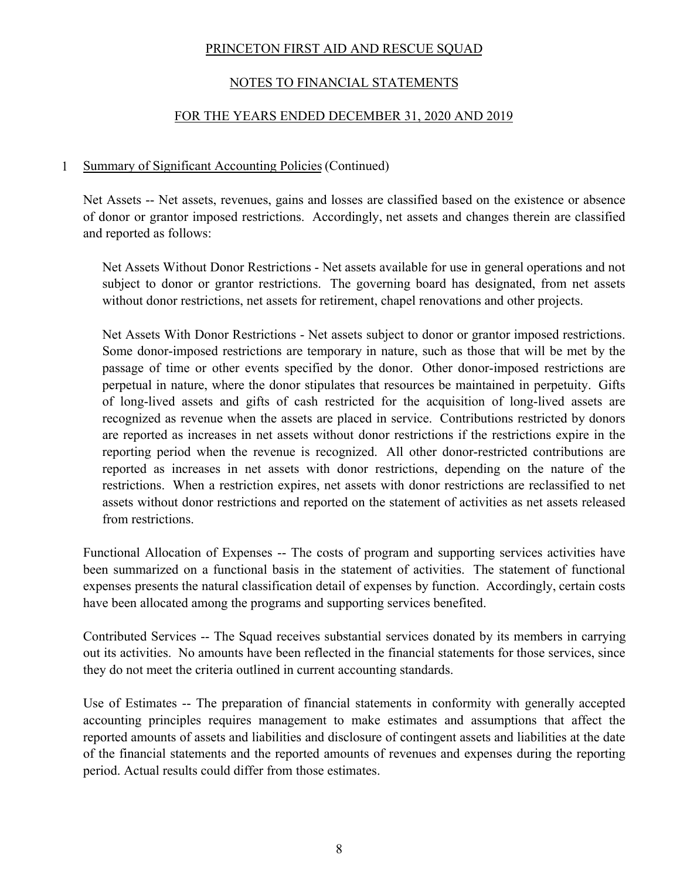# NOTES TO FINANCIAL STATEMENTS

# FOR THE YEARS ENDED DECEMBER 31, 2020 AND 2019

#### 1 Summary of Significant Accounting Policies (Continued)

Net Assets -- Net assets, revenues, gains and losses are classified based on the existence or absence of donor or grantor imposed restrictions. Accordingly, net assets and changes therein are classified and reported as follows:

Net Assets Without Donor Restrictions - Net assets available for use in general operations and not subject to donor or grantor restrictions. The governing board has designated, from net assets without donor restrictions, net assets for retirement, chapel renovations and other projects.

Net Assets With Donor Restrictions - Net assets subject to donor or grantor imposed restrictions. Some donor-imposed restrictions are temporary in nature, such as those that will be met by the passage of time or other events specified by the donor. Other donor-imposed restrictions are perpetual in nature, where the donor stipulates that resources be maintained in perpetuity. Gifts of long-lived assets and gifts of cash restricted for the acquisition of long-lived assets are recognized as revenue when the assets are placed in service. Contributions restricted by donors are reported as increases in net assets without donor restrictions if the restrictions expire in the reporting period when the revenue is recognized. All other donor-restricted contributions are reported as increases in net assets with donor restrictions, depending on the nature of the restrictions. When a restriction expires, net assets with donor restrictions are reclassified to net assets without donor restrictions and reported on the statement of activities as net assets released from restrictions.

Functional Allocation of Expenses -- The costs of program and supporting services activities have been summarized on a functional basis in the statement of activities. The statement of functional expenses presents the natural classification detail of expenses by function. Accordingly, certain costs have been allocated among the programs and supporting services benefited.

Contributed Services -- The Squad receives substantial services donated by its members in carrying out its activities. No amounts have been reflected in the financial statements for those services, since they do not meet the criteria outlined in current accounting standards.

Use of Estimates -- The preparation of financial statements in conformity with generally accepted accounting principles requires management to make estimates and assumptions that affect the reported amounts of assets and liabilities and disclosure of contingent assets and liabilities at the date of the financial statements and the reported amounts of revenues and expenses during the reporting period. Actual results could differ from those estimates.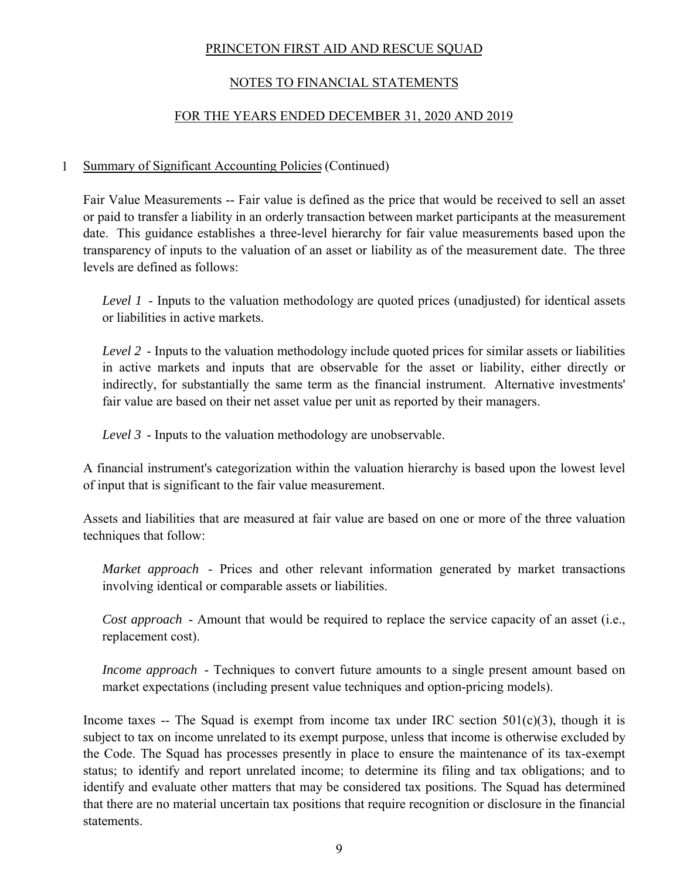# NOTES TO FINANCIAL STATEMENTS

# FOR THE YEARS ENDED DECEMBER 31, 2020 AND 2019

# 1 Summary of Significant Accounting Policies (Continued)

Fair Value Measurements -- Fair value is defined as the price that would be received to sell an asset or paid to transfer a liability in an orderly transaction between market participants at the measurement date. This guidance establishes a three-level hierarchy for fair value measurements based upon the transparency of inputs to the valuation of an asset or liability as of the measurement date. The three levels are defined as follows:

*Level 1* - Inputs to the valuation methodology are quoted prices (unadjusted) for identical assets or liabilities in active markets.

*Level 2* - Inputs to the valuation methodology include quoted prices for similar assets or liabilities in active markets and inputs that are observable for the asset or liability, either directly or indirectly, for substantially the same term as the financial instrument. Alternative investments' fair value are based on their net asset value per unit as reported by their managers.

*Level 3* - Inputs to the valuation methodology are unobservable.

A financial instrument's categorization within the valuation hierarchy is based upon the lowest level of input that is significant to the fair value measurement.

Assets and liabilities that are measured at fair value are based on one or more of the three valuation techniques that follow:

*Market approach* - Prices and other relevant information generated by market transactions involving identical or comparable assets or liabilities.

*Cost approach* - Amount that would be required to replace the service capacity of an asset (i.e., replacement cost).

*Income approach* - Techniques to convert future amounts to a single present amount based on market expectations (including present value techniques and option-pricing models).

Income taxes -- The Squad is exempt from income tax under IRC section  $501(c)(3)$ , though it is subject to tax on income unrelated to its exempt purpose, unless that income is otherwise excluded by the Code. The Squad has processes presently in place to ensure the maintenance of its tax-exempt status; to identify and report unrelated income; to determine its filing and tax obligations; and to identify and evaluate other matters that may be considered tax positions. The Squad has determined that there are no material uncertain tax positions that require recognition or disclosure in the financial statements.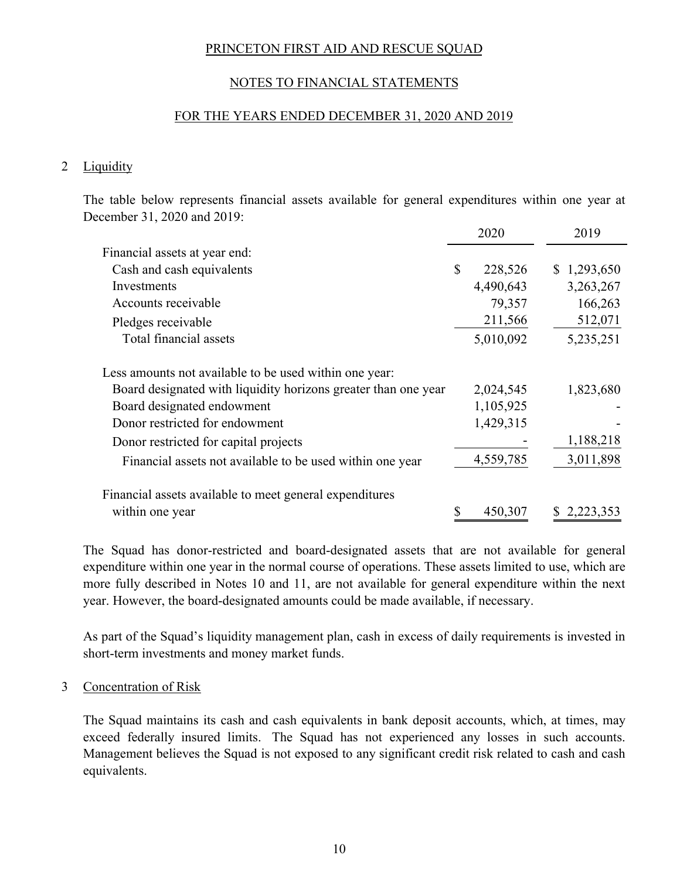## NOTES TO FINANCIAL STATEMENTS

#### FOR THE YEARS ENDED DECEMBER 31, 2020 AND 2019

#### 2 Liquidity

The table below represents financial assets available for general expenditures within one year at December 31, 2020 and 2019:

|                                                                |   | 2020      | 2019        |
|----------------------------------------------------------------|---|-----------|-------------|
| Financial assets at year end:                                  |   |           |             |
| Cash and cash equivalents                                      | S | 228,526   | \$1,293,650 |
| Investments                                                    |   | 4,490,643 | 3,263,267   |
| Accounts receivable                                            |   | 79,357    | 166,263     |
| Pledges receivable                                             |   | 211,566   | 512,071     |
| Total financial assets                                         |   | 5,010,092 | 5,235,251   |
| Less amounts not available to be used within one year:         |   |           |             |
| Board designated with liquidity horizons greater than one year |   | 2,024,545 | 1,823,680   |
| Board designated endowment                                     |   | 1,105,925 |             |
| Donor restricted for endowment                                 |   | 1,429,315 |             |
| Donor restricted for capital projects                          |   |           | 1,188,218   |
| Financial assets not available to be used within one year      |   | 4,559,785 | 3,011,898   |
| Financial assets available to meet general expenditures        |   |           |             |
| within one year                                                |   | 450,307   | 2,223,353   |

The Squad has donor-restricted and board-designated assets that are not available for general expenditure within one year in the normal course of operations. These assets limited to use, which are more fully described in Notes 10 and 11, are not available for general expenditure within the next year. However, the board-designated amounts could be made available, if necessary.

As part of the Squad's liquidity management plan, cash in excess of daily requirements is invested in short-term investments and money market funds.

#### 3 Concentration of Risk

The Squad maintains its cash and cash equivalents in bank deposit accounts, which, at times, may exceed federally insured limits. The Squad has not experienced any losses in such accounts. Management believes the Squad is not exposed to any significant credit risk related to cash and cash equivalents.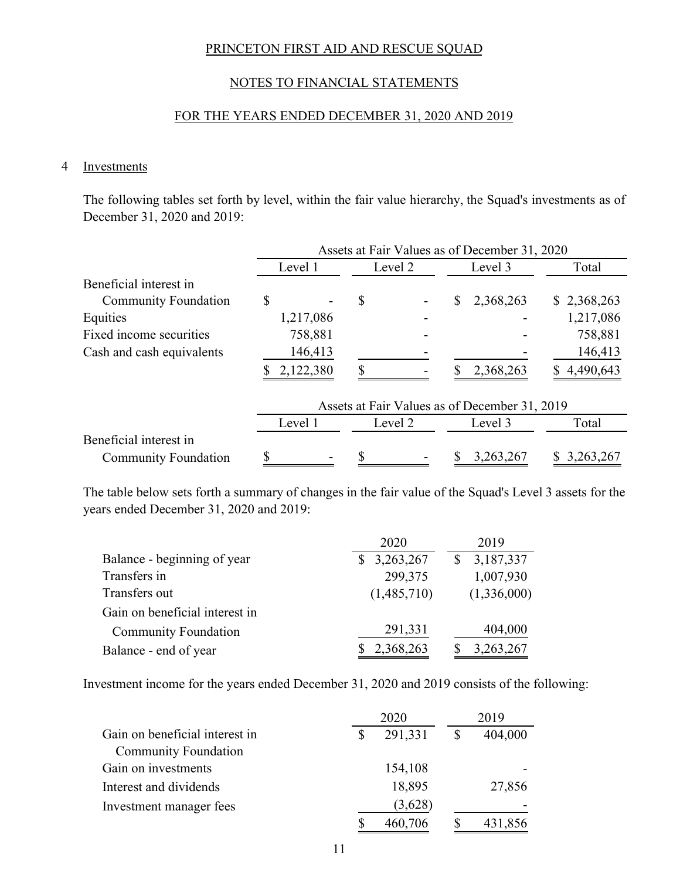# NOTES TO FINANCIAL STATEMENTS

#### FOR THE YEARS ENDED DECEMBER 31, 2020 AND 2019

### 4 Investments

The following tables set forth by level, within the fair value hierarchy, the Squad's investments as of December 31, 2020 and 2019:

|                             | Assets at Fair Values as of December 31, 2020 |           |         |         |         |                                               |       |             |
|-----------------------------|-----------------------------------------------|-----------|---------|---------|---------|-----------------------------------------------|-------|-------------|
|                             | Level 1                                       |           | Level 2 |         | Level 3 |                                               | Total |             |
| Beneficial interest in      |                                               |           |         |         |         |                                               |       |             |
| <b>Community Foundation</b> | \$                                            |           | \$      |         | \$      | 2,368,263                                     |       | \$2,368,263 |
| Equities                    |                                               | 1,217,086 |         |         |         |                                               |       | 1,217,086   |
| Fixed income securities     |                                               | 758,881   |         |         |         |                                               |       | 758,881     |
| Cash and cash equivalents   |                                               | 146,413   |         |         |         |                                               |       | 146,413     |
|                             |                                               | 2,122,380 |         |         |         | 2,368,263                                     | S.    | 4,490,643   |
|                             |                                               |           |         |         |         | Assets at Fair Values as of December 31, 2019 |       |             |
|                             |                                               | Level 1   |         | Level 2 |         | Level 3                                       |       | Total       |
| Beneficial interest in      |                                               |           |         |         |         |                                               |       |             |
| <b>Community Foundation</b> |                                               |           | S       |         |         | 3,263,267                                     |       | 3,263,267   |

The table below sets forth a summary of changes in the fair value of the Squad's Level 3 assets for the years ended December 31, 2020 and 2019:

|                                | 2020        | 2019        |
|--------------------------------|-------------|-------------|
| Balance - beginning of year    | 3,263,267   | 3,187,337   |
| Transfers in                   | 299,375     | 1,007,930   |
| Transfers out                  | (1,485,710) | (1,336,000) |
| Gain on beneficial interest in |             |             |
| <b>Community Foundation</b>    | 291,331     | 404,000     |
| Balance - end of year          | 2,368,263   | 3,263,267   |

Investment income for the years ended December 31, 2020 and 2019 consists of the following:

|                                | 2020    |               | 2019    |
|--------------------------------|---------|---------------|---------|
| Gain on beneficial interest in | 291,331 | <sup>\$</sup> | 404,000 |
| <b>Community Foundation</b>    |         |               |         |
| Gain on investments            | 154,108 |               |         |
| Interest and dividends         | 18,895  |               | 27,856  |
| Investment manager fees        | (3,628) |               |         |
|                                | 460,706 |               | 431,856 |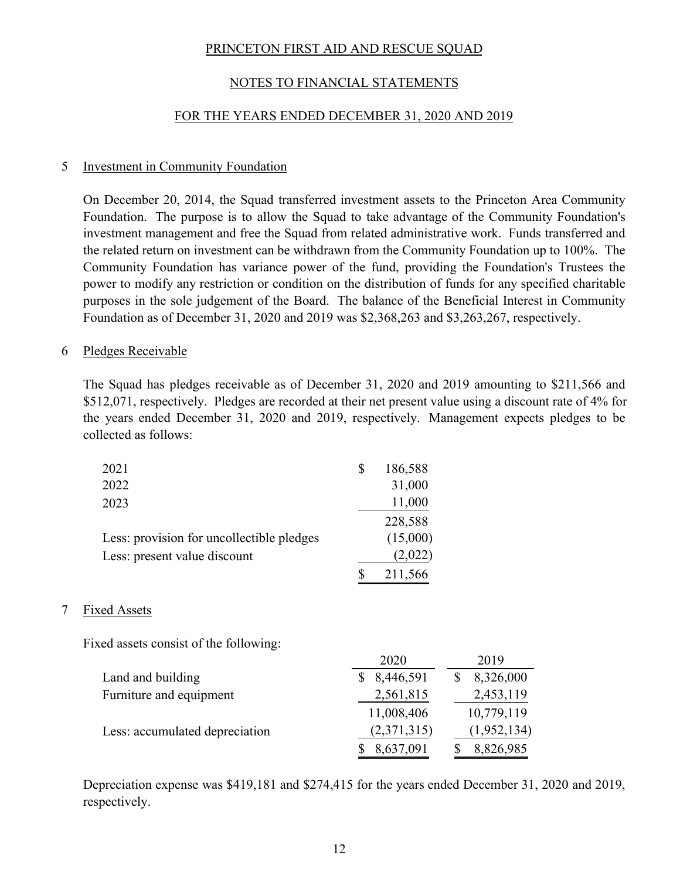# NOTES TO FINANCIAL STATEMENTS

#### FOR THE YEARS ENDED DECEMBER 31, 2020 AND 2019

#### 5 Investment in Community Foundation

On December 20, 2014, the Squad transferred investment assets to the Princeton Area Community Foundation. The purpose is to allow the Squad to take advantage of the Community Foundation's investment management and free the Squad from related administrative work. Funds transferred and the related return on investment can be withdrawn from the Community Foundation up to 100%. The Community Foundation has variance power of the fund, providing the Foundation's Trustees the power to modify any restriction or condition on the distribution of funds for any specified charitable purposes in the sole judgement of the Board. The balance of the Beneficial Interest in Community Foundation as of December 31, 2020 and 2019 was \$2,368,263 and \$3,263,267, respectively.

#### 6 Pledges Receivable

The Squad has pledges receivable as of December 31, 2020 and 2019 amounting to \$211,566 and \$512,071, respectively. Pledges are recorded at their net present value using a discount rate of 4% for the years ended December 31, 2020 and 2019, respectively. Management expects pledges to be collected as follows:

| 2021                                      | \$<br>186,588 |
|-------------------------------------------|---------------|
| 2022                                      | 31,000        |
| 2023                                      | 11,000        |
|                                           | 228,588       |
| Less: provision for uncollectible pledges | (15,000)      |
| Less: present value discount              | (2,022)       |
|                                           | 211,566       |

#### 7 Fixed Assets

Fixed assets consist of the following:

|                                | 2020        | 2019        |
|--------------------------------|-------------|-------------|
| Land and building              | 8,446,591   | 8,326,000   |
| Furniture and equipment        | 2,561,815   | 2,453,119   |
|                                | 11,008,406  | 10,779,119  |
| Less: accumulated depreciation | (2,371,315) | (1,952,134) |
|                                | 8,637,091   | 8,826,985   |

Depreciation expense was \$419,181 and \$274,415 for the years ended December 31, 2020 and 2019, respectively.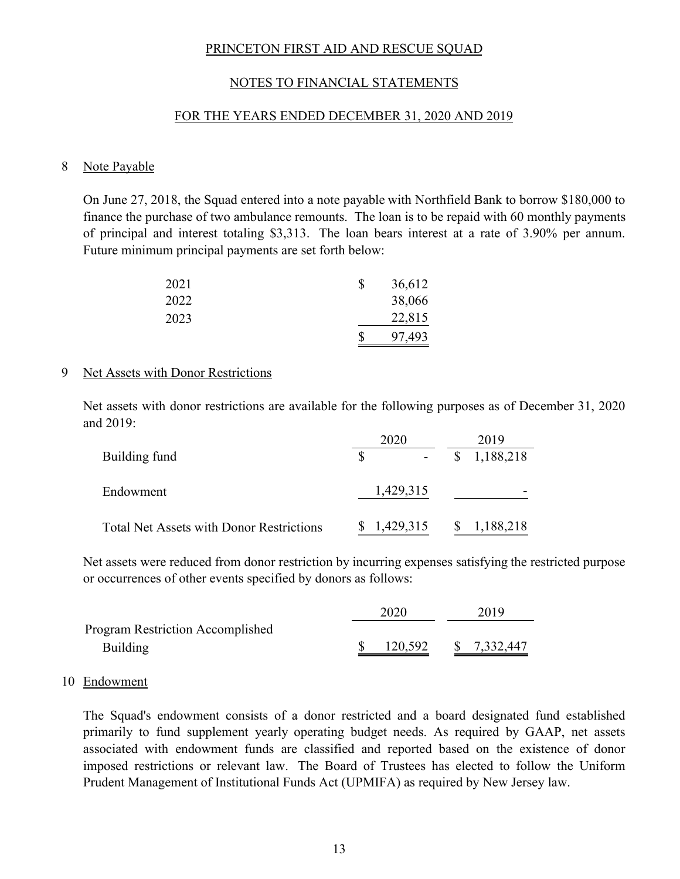#### NOTES TO FINANCIAL STATEMENTS

#### FOR THE YEARS ENDED DECEMBER 31, 2020 AND 2019

#### 8 Note Payable

On June 27, 2018, the Squad entered into a note payable with Northfield Bank to borrow \$180,000 to finance the purchase of two ambulance remounts. The loan is to be repaid with 60 monthly payments of principal and interest totaling \$3,313. The loan bears interest at a rate of 3.90% per annum. Future minimum principal payments are set forth below:

| 2021 | 36,612 |
|------|--------|
| 2022 | 38,066 |
| 2023 | 22,815 |
|      | 97,493 |

#### 9 Net Assets with Donor Restrictions

Net assets with donor restrictions are available for the following purposes as of December 31, 2020 and 2019:

|                                                 | 2020     |             |              | 2019        |  |
|-------------------------------------------------|----------|-------------|--------------|-------------|--|
| Building fund                                   | <b>S</b> |             |              | \$1,188,218 |  |
| Endowment                                       |          | 1,429,315   |              |             |  |
| <b>Total Net Assets with Donor Restrictions</b> |          | \$1,429,315 | <sup>S</sup> | 1,188,218   |  |

Net assets were reduced from donor restriction by incurring expenses satisfying the restricted purpose or occurrences of other events specified by donors as follows:

|                                         | 2020    |  | 2019        |  |  |
|-----------------------------------------|---------|--|-------------|--|--|
| <b>Program Restriction Accomplished</b> |         |  |             |  |  |
| <b>Building</b>                         | 120,592 |  | \$7,332,447 |  |  |

#### 10 Endowment

The Squad's endowment consists of a donor restricted and a board designated fund established primarily to fund supplement yearly operating budget needs. As required by GAAP, net assets associated with endowment funds are classified and reported based on the existence of donor imposed restrictions or relevant law. The Board of Trustees has elected to follow the Uniform Prudent Management of Institutional Funds Act (UPMIFA) as required by New Jersey law.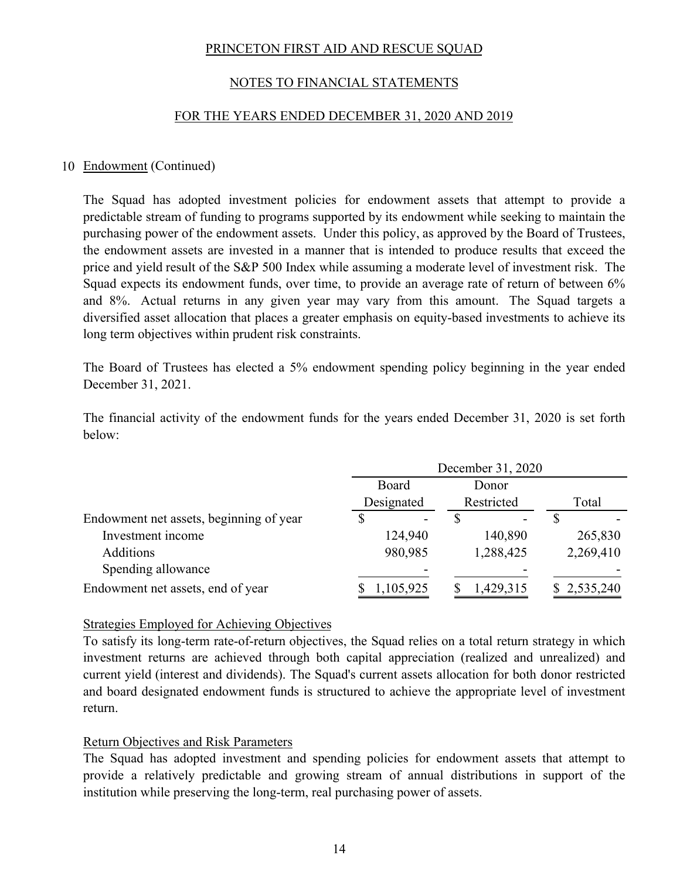# NOTES TO FINANCIAL STATEMENTS

#### FOR THE YEARS ENDED DECEMBER 31, 2020 AND 2019

#### 10 Endowment (Continued)

The Squad has adopted investment policies for endowment assets that attempt to provide a predictable stream of funding to programs supported by its endowment while seeking to maintain the purchasing power of the endowment assets. Under this policy, as approved by the Board of Trustees, the endowment assets are invested in a manner that is intended to produce results that exceed the price and yield result of the S&P 500 Index while assuming a moderate level of investment risk. The Squad expects its endowment funds, over time, to provide an average rate of return of between 6% and 8%. Actual returns in any given year may vary from this amount. The Squad targets a diversified asset allocation that places a greater emphasis on equity-based investments to achieve its long term objectives within prudent risk constraints.

The Board of Trustees has elected a 5% endowment spending policy beginning in the year ended December 31, 2021.

The financial activity of the endowment funds for the years ended December 31, 2020 is set forth below:

|                                         | December 31, 2020 |            |             |
|-----------------------------------------|-------------------|------------|-------------|
|                                         | Board             | Donor      |             |
|                                         | Designated        | Restricted | Total       |
| Endowment net assets, beginning of year | S                 |            |             |
| Investment income                       | 124,940           | 140,890    | 265,830     |
| <b>Additions</b>                        | 980,985           | 1,288,425  | 2,269,410   |
| Spending allowance                      |                   |            |             |
| Endowment net assets, end of year       | 1,105,925         | 1,429,315  | \$2,535,240 |

#### Strategies Employed for Achieving Objectives

To satisfy its long-term rate-of-return objectives, the Squad relies on a total return strategy in which investment returns are achieved through both capital appreciation (realized and unrealized) and current yield (interest and dividends). The Squad's current assets allocation for both donor restricted and board designated endowment funds is structured to achieve the appropriate level of investment return.

#### Return Objectives and Risk Parameters

The Squad has adopted investment and spending policies for endowment assets that attempt to provide a relatively predictable and growing stream of annual distributions in support of the institution while preserving the long-term, real purchasing power of assets.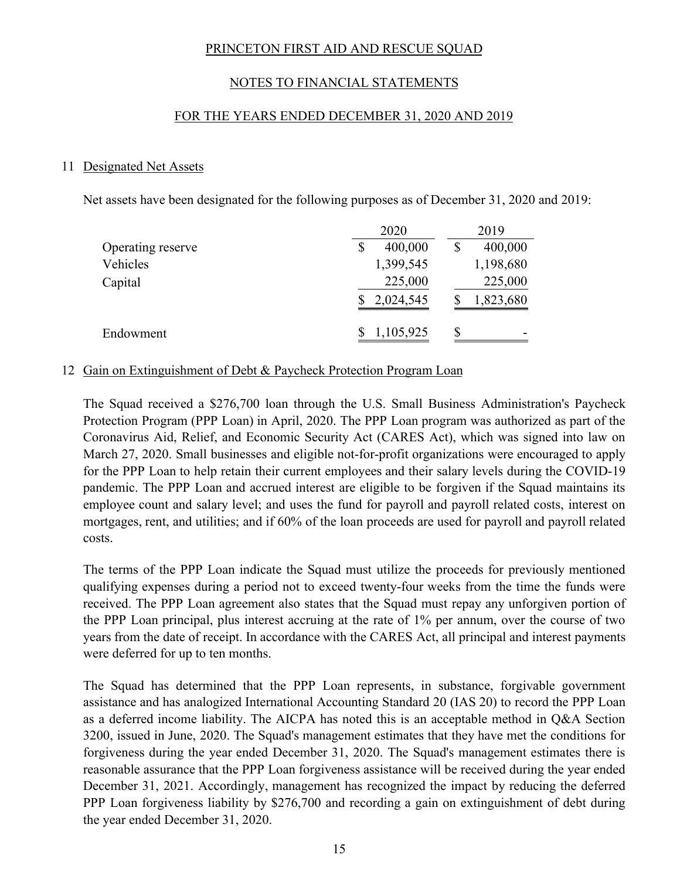# NOTES TO FINANCIAL STATEMENTS

#### FOR THE YEARS ENDED DECEMBER 31, 2020 AND 2019

#### 11 Designated Net Assets

Net assets have been designated for the following purposes as of December 31, 2020 and 2019:

|                   | 2020      |    | 2019      |
|-------------------|-----------|----|-----------|
| Operating reserve | 400,000   | \$ | 400,000   |
| Vehicles          | 1,399,545 |    | 1,198,680 |
| Capital           | 225,000   |    | 225,000   |
|                   | 2,024,545 |    | 1,823,680 |
| Endowment         | 1,105,925 | S  |           |

#### 12 Gain on Extinguishment of Debt & Paycheck Protection Program Loan

The Squad received a \$276,700 loan through the U.S. Small Business Administration's Paycheck Protection Program (PPP Loan) in April, 2020. The PPP Loan program was authorized as part of the Coronavirus Aid, Relief, and Economic Security Act (CARES Act), which was signed into law on March 27, 2020. Small businesses and eligible not-for-profit organizations were encouraged to apply for the PPP Loan to help retain their current employees and their salary levels during the COVID-19 pandemic. The PPP Loan and accrued interest are eligible to be forgiven if the Squad maintains its employee count and salary level; and uses the fund for payroll and payroll related costs, interest on mortgages, rent, and utilities; and if 60% of the loan proceeds are used for payroll and payroll related costs.

The terms of the PPP Loan indicate the Squad must utilize the proceeds for previously mentioned qualifying expenses during a period not to exceed twenty-four weeks from the time the funds were received. The PPP Loan agreement also states that the Squad must repay any unforgiven portion of the PPP Loan principal, plus interest accruing at the rate of 1% per annum, over the course of two years from the date of receipt. In accordance with the CARES Act, all principal and interest payments were deferred for up to ten months.

The Squad has determined that the PPP Loan represents, in substance, forgivable government assistance and has analogized International Accounting Standard 20 (IAS 20) to record the PPP Loan as a deferred income liability. The AICPA has noted this is an acceptable method in Q&A Section 3200, issued in June, 2020. The Squad's management estimates that they have met the conditions for forgiveness during the year ended December 31, 2020. The Squad's management estimates there is reasonable assurance that the PPP Loan forgiveness assistance will be received during the year ended December 31, 2021. Accordingly, management has recognized the impact by reducing the deferred PPP Loan forgiveness liability by \$276,700 and recording a gain on extinguishment of debt during the year ended December 31, 2020.